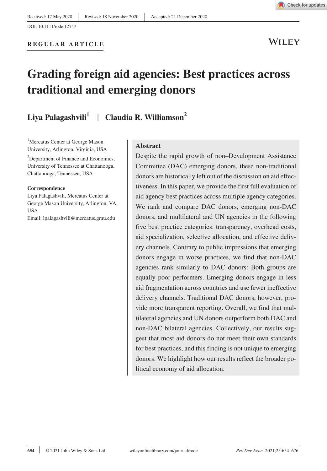DOI: 10.1111/rode.12747

# WILEY

# **Grading foreign aid agencies: Best practices across traditional and emerging donors**

# **Liya Palagashvili<sup>1</sup>** | **Claudia R. Williamson2**

1 Mercatus Center at George Mason University, Arlington, Virginia, USA

<sup>2</sup>Department of Finance and Economics, University of Tennessee at Chattanooga, Chattanooga, Tennessee, USA

#### **Correspondence**

Liya Palagashvili, Mercatus Center at George Mason University, Arlington, VA, USA. Email: [lpalagashvili@mercatus.gmu.edu](mailto:lpalagashvili@mercatus.gmu.edu)

#### **Abstract**

Despite the rapid growth of non–Development Assistance Committee (DAC) emerging donors, these non-traditional donors are historically left out of the discussion on aid effectiveness. In this paper, we provide the first full evaluation of aid agency best practices across multiple agency categories. We rank and compare DAC donors, emerging non-DAC donors, and multilateral and UN agencies in the following five best practice categories: transparency, overhead costs, aid specialization, selective allocation, and effective delivery channels. Contrary to public impressions that emerging donors engage in worse practices, we find that non-DAC agencies rank similarly to DAC donors: Both groups are equally poor performers. Emerging donors engage in less aid fragmentation across countries and use fewer ineffective delivery channels. Traditional DAC donors, however, provide more transparent reporting. Overall, we find that multilateral agencies and UN donors outperform both DAC and non-DAC bilateral agencies. Collectively, our results suggest that most aid donors do not meet their own standards for best practices, and this finding is not unique to emerging donors. We highlight how our results reflect the broader political economy of aid allocation.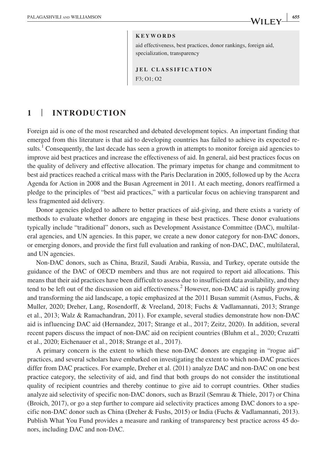#### **KEYWORDS**

aid effectiveness, best practices, donor rankings, foreign aid, specialization, transparency

**JEL CLASSIFICATION** F3; O1; O2

## **1** | **INTRODUCTION**

Foreign aid is one of the most researched and debated development topics. An important finding that emerged from this literature is that aid to developing countries has failed to achieve its expected results.<sup>1</sup> Consequently, the last decade has seen a growth in attempts to monitor foreign aid agencies to improve aid best practices and increase the effectiveness of aid. In general, aid best practices focus on the quality of delivery and effective allocation. The primary impetus for change and commitment to best aid practices reached a critical mass with the Paris Declaration in 2005, followed up by the Accra Agenda for Action in 2008 and the Busan Agreement in 2011. At each meeting, donors reaffirmed a pledge to the principles of "best aid practices," with a particular focus on achieving transparent and less fragmented aid delivery.

Donor agencies pledged to adhere to better practices of aid-giving, and there exists a variety of methods to evaluate whether donors are engaging in these best practices. These donor evaluations typically include "traditional" donors, such as Development Assistance Committee (DAC), multilateral agencies, and UN agencies. In this paper, we create a new donor category for non-DAC donors, or emerging donors, and provide the first full evaluation and ranking of non-DAC, DAC, multilateral, and UN agencies.

Non-DAC donors, such as China, Brazil, Saudi Arabia, Russia, and Turkey, operate outside the guidance of the DAC of OECD members and thus are not required to report aid allocations. This means that their aid practices have been difficult to assess due to insufficient data availability, and they tend to be left out of the discussion on aid effectiveness.<sup>2</sup> However, non-DAC aid is rapidly growing and transforming the aid landscape, a topic emphasized at the 2011 Busan summit (Asmus, Fuchs, & Muller, 2020; Dreher, Lang, Rosendorff, & Vreeland, 2018; Fuchs & Vadlamannati, 2013; Strange et al., 2013; Walz & Ramachandran, 2011). For example, several studies demonstrate how non-DAC aid is influencing DAC aid (Hernandez, 2017; Strange et al., 2017; Zeitz, 2020). In addition, several recent papers discuss the impact of non-DAC aid on recipient countries (Bluhm et al., 2020; Cruzatti et al., 2020; Eichenauer et al., 2018; Strange et al., 2017).

A primary concern is the extent to which these non-DAC donors are engaging in "rogue aid" practices, and several scholars have embarked on investigating the extent to which non-DAC practices differ from DAC practices. For example, Dreher et al. (2011) analyze DAC and non-DAC on one best practice category, the selectivity of aid, and find that both groups do not consider the institutional quality of recipient countries and thereby continue to give aid to corrupt countries. Other studies analyze aid selectivity of specific non-DAC donors, such as Brazil (Semrau & Thiele, 2017) or China (Broich, 2017), or go a step further to compare aid selectivity practices among DAC donors to a specific non-DAC donor such as China (Dreher & Fushs, 2015) or India (Fuchs & Vadlamannati, 2013). Publish What You Fund provides a measure and ranking of transparency best practice across 45 donors, including DAC and non-DAC.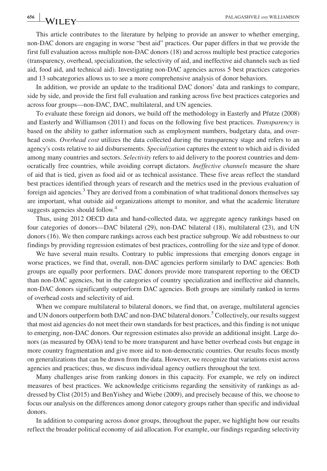This article contributes to the literature by helping to provide an answer to whether emerging, non-DAC donors are engaging in worse "best aid" practices. Our paper differs in that we provide the first full evaluation across multiple non-DAC donors (18) and across multiple best practice categories (transparency, overhead, specialization, the selectivity of aid, and ineffective aid channels such as tied aid, food aid, and technical aid). Investigating non-DAC agencies across 5 best practices categories and 13 subcategories allows us to see a more comprehensive analysis of donor behaviors.

In addition, we provide an update to the traditional DAC donors' data and rankings to compare, side by side, and provide the first full evaluation and ranking across five best practices categories and across four groups—non-DAC, DAC, multilateral, and UN agencies.

To evaluate these foreign aid donors, we build off the methodology in Easterly and Pfutze (2008) and Easterly and Williamson (2011) and focus on the following five best practices. *Transparency* is based on the ability to gather information such as employment numbers, budgetary data, and overhead costs. *Overhead cost* utilizes the data collected during the transparency stage and refers to an agency's costs relative to aid disbursements. *Specialization* captures the extent to which aid is divided among many countries and sectors. *Selectivity* refers to aid delivery to the poorest countries and democratically free countries, while avoiding corrupt dictators. *Ineffective channels* measure the share of aid that is tied, given as food aid or as technical assistance. These five areas reflect the standard best practices identified through years of research and the metrics used in the previous evaluation of foreign aid agencies.<sup>3</sup> They are derived from a combination of what traditional donors themselves say are important, what outside aid organizations attempt to monitor, and what the academic literature suggests agencies should follow.<sup>4</sup>

Thus, using 2012 OECD data and hand-collected data, we aggregate agency rankings based on four categories of donors—DAC bilateral (29), non-DAC bilateral (18), multilateral (23), and UN donors (16). We then compare rankings across each best practice subgroup. We add robustness to our findings by providing regression estimates of best practices, controlling for the size and type of donor.

We have several main results. Contrary to public impressions that emerging donors engage in worse practices, we find that, overall, non-DAC agencies perform similarly to DAC agencies: Both groups are equally poor performers. DAC donors provide more transparent reporting to the OECD than non-DAC agencies, but in the categories of country specialization and ineffective aid channels, non-DAC donors significantly outperform DAC agencies. Both groups are similarly ranked in terms of overhead costs and selectivity of aid.

When we compare multilateral to bilateral donors, we find that, on average, multilateral agencies and UN donors outperform both DAC and non-DAC bilateral donors.<sup>5</sup> Collectively, our results suggest that most aid agencies do not meet their own standards for best practices, and this finding is not unique to emerging, non-DAC donors. Our regression estimates also provide an additional insight. Large donors (as measured by ODA) tend to be more transparent and have better overhead costs but engage in more country fragmentation and give more aid to non-democratic countries. Our results focus mostly on generalizations that can be drawn from the data. However, we recognize that variations exist across agencies and practices; thus, we discuss individual agency outliers throughout the text.

Many challenges arise from ranking donors in this capacity. For example, we rely on indirect measures of best practices. We acknowledge criticisms regarding the sensitivity of rankings as addressed by Clist (2015) and BenYishey and Wiebe (2009), and precisely because of this, we choose to focus our analysis on the differences among donor category groups rather than specific and individual donors.

In addition to comparing across donor groups, throughout the paper, we highlight how our results reflect the broader political economy of aid allocation. For example, our findings regarding selectivity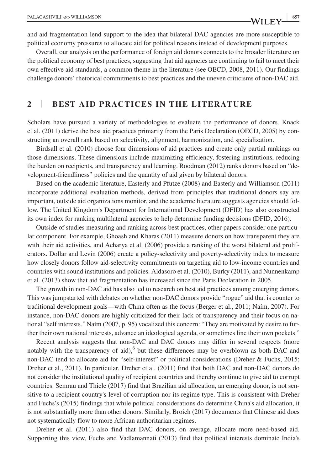and aid fragmentation lend support to the idea that bilateral DAC agencies are more susceptible to political economy pressures to allocate aid for political reasons instead of development purposes.

Overall, our analysis on the performance of foreign aid donors connects to the broader literature on the political economy of best practices, suggesting that aid agencies are continuing to fail to meet their own effective aid standards, a common theme in the literature (see OECD, 2008, 2011). Our findings challenge donors' rhetorical commitments to best practices and the uneven criticisms of non-DAC aid.

# **2** | **BEST AID PRACTICES IN THE LITERATURE**

Scholars have pursued a variety of methodologies to evaluate the performance of donors. Knack et al. (2011) derive the best aid practices primarily from the Paris Declaration (OECD, 2005) by constructing an overall rank based on selectivity, alignment, harmonization, and specialization.

Birdsall et al. (2010) choose four dimensions of aid practices and create only partial rankings on those dimensions. These dimensions include maximizing efficiency, fostering institutions, reducing the burden on recipients, and transparency and learning. Roodman (2012) ranks donors based on "development-friendliness" policies and the quantity of aid given by bilateral donors.

Based on the academic literature, Easterly and Pfutze (2008) and Easterly and Williamson (2011) incorporate additional evaluation methods, derived from principles that traditional donors say are important, outside aid organizations monitor, and the academic literature suggests agencies should follow. The United Kingdom's Department for International Development (DFID) has also constructed its own index for ranking multilateral agencies to help determine funding decisions (DFID, 2016).

Outside of studies measuring and ranking across best practices, other papers consider one particular component. For example, Ghoash and Kharas (2011) measure donors on how transparent they are with their aid activities, and Acharya et al. (2006) provide a ranking of the worst bilateral aid proliferators. Dollar and Levin (2006) create a policy-selectivity and poverty-selectivity index to measure how closely donors follow aid-selectivity commitments on targeting aid to low-income countries and countries with sound institutions and policies. Aldasoro et al. (2010), Burky (2011), and Nunnenkamp et al. (2013) show that aid fragmentation has increased since the Paris Declaration in 2005.

The growth in non-DAC aid has also led to research on best aid practices among emerging donors. This was jumpstarted with debates on whether non-DAC donors provide "rogue" aid that is counter to traditional development goals—with China often as the focus (Berger et al., 2011; Naím, 2007). For instance, non-DAC donors are highly criticized for their lack of transparency and their focus on national "self interests.″ Naím (2007, p. 95) vocalized this concern: "They are motivated by desire to further their own national interests, advance an ideological agenda, or sometimes line their own pockets."

Recent analysis suggests that non-DAC and DAC donors may differ in several respects (more notably with the transparency of aid),<sup>6</sup> but these differences may be overblown as both DAC and non-DAC tend to allocate aid for "self-interest" or political considerations (Dreher & Fuchs, 2015; Dreher et al., 2011). In particular, Dreher et al. (2011) find that both DAC and non-DAC donors do not consider the institutional quality of recipient countries and thereby continue to give aid to corrupt countries. Semrau and Thiele (2017) find that Brazilian aid allocation, an emerging donor, is not sensitive to a recipient country's level of corruption nor its regime type. This is consistent with Dreher and Fuchs's (2015) findings that while political considerations do determine China's aid allocation, it is not substantially more than other donors. Similarly, Broich (2017) documents that Chinese aid does not systematically flow to more African authoritarian regimes.

Dreher et al. (2011) also find that DAC donors, on average, allocate more need-based aid. Supporting this view, Fuchs and Vadlamannati (2013) find that political interests dominate India's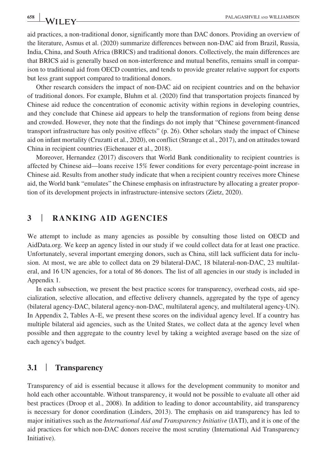aid practices, a non-traditional donor, significantly more than DAC donors. Providing an overview of the literature, Asmus et al. (2020) summarize differences between non-DAC aid from Brazil, Russia, India, China, and South Africa (BRICS) and traditional donors. Collectively, the main differences are that BRICS aid is generally based on non-interference and mutual benefits, remains small in comparison to traditional aid from OECD countries, and tends to provide greater relative support for exports but less grant support compared to traditional donors.

Other research considers the impact of non-DAC aid on recipient countries and on the behavior of traditional donors. For example, Bluhm et al. (2020) find that transportation projects financed by Chinese aid reduce the concentration of economic activity within regions in developing countries, and they conclude that Chinese aid appears to help the transformation of regions from being dense and crowded. However, they note that the findings do not imply that "Chinese government-financed transport infrastructure has only positive effects" (p. 26). Other scholars study the impact of Chinese aid on infant mortality (Cruzatti et al., 2020), on conflict (Strange et al., 2017), and on attitudes toward China in recipient countries (Eichenauer et al., 2018).

Moreover, Hernandez (2017) discovers that World Bank conditionality to recipient countries is affected by Chinese aid—loans receive 15% fewer conditions for every percentage-point increase in Chinese aid. Results from another study indicate that when a recipient country receives more Chinese aid, the World bank "emulates" the Chinese emphasis on infrastructure by allocating a greater proportion of its development projects in infrastructure-intensive sectors (Zietz, 2020).

# **3** | **RANKING AID AGENCIES**

We attempt to include as many agencies as possible by consulting those listed on OECD and AidData.org. We keep an agency listed in our study if we could collect data for at least one practice. Unfortunately, several important emerging donors, such as China, still lack sufficient data for inclusion. At most, we are able to collect data on 29 bilateral-DAC, 18 bilateral-non-DAC, 23 multilateral, and 16 UN agencies, for a total of 86 donors. The list of all agencies in our study is included in Appendix 1.

In each subsection, we present the best practice scores for transparency, overhead costs, aid specialization, selective allocation, and effective delivery channels, aggregated by the type of agency (bilateral agency-DAC, bilateral agency-non-DAC, multilateral agency, and multilateral agency-UN). In Appendix 2, Tables A–E, we present these scores on the individual agency level. If a country has multiple bilateral aid agencies, such as the United States, we collect data at the agency level when possible and then aggregate to the country level by taking a weighted average based on the size of each agency's budget.

# **3.1** | **Transparency**

Transparency of aid is essential because it allows for the development community to monitor and hold each other accountable. Without transparency, it would not be possible to evaluate all other aid best practices (Droop et al., 2008). In addition to leading to donor accountability, aid transparency is necessary for donor coordination (Linders, 2013). The emphasis on aid transparency has led to major initiatives such as the *International Aid and Transparency Initiative* (IATI), and it is one of the aid practices for which non-DAC donors receive the most scrutiny (International Aid Transparency Initiative).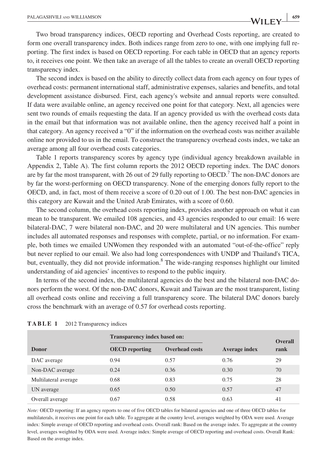Two broad transparency indices, OECD reporting and Overhead Costs reporting, are created to form one overall transparency index. Both indices range from zero to one, with one implying full reporting. The first index is based on OECD reporting. For each table in OECD that an agency reports to, it receives one point. We then take an average of all the tables to create an overall OECD reporting transparency index.

The second index is based on the ability to directly collect data from each agency on four types of overhead costs: permanent international staff, administrative expenses, salaries and benefits, and total development assistance disbursed. First, each agency's website and annual reports were consulted. If data were available online, an agency received one point for that category. Next, all agencies were sent two rounds of emails requesting the data. If an agency provided us with the overhead costs data in the email but that information was not available online, then the agency received half a point in that category. An agency received a "0" if the information on the overhead costs was neither available online nor provided to us in the email. To construct the transparency overhead costs index, we take an average among all four overhead costs categories.

Table 1 reports transparency scores by agency type (individual agency breakdown available in Appendix 2, Table A). The first column reports the 2012 OECD reporting index. The DAC donors are by far the most transparent, with 26 out of 29 fully reporting to OECD.<sup>7</sup> The non-DAC donors are by far the worst-performing on OECD transparency. None of the emerging donors fully report to the OECD, and, in fact, most of them receive a score of 0.20 out of 1.00. The best non-DAC agencies in this category are Kuwait and the United Arab Emirates, with a score of 0.60.

The second column, the overhead costs reporting index, provides another approach on what it can mean to be transparent. We emailed 108 agencies, and 43 agencies responded to our email: 16 were bilateral-DAC, 7 were bilateral non-DAC, and 20 were multilateral and UN agencies. This number includes all automated responses and responses with complete, partial, or no information. For example, both times we emailed UNWomen they responded with an automated "out-of-the-office" reply but never replied to our email. We also had long correspondences with UNDP and Thailand's TICA, but, eventually, they did not provide information.<sup>8</sup> The wide-ranging responses highlight our limited understanding of aid agencies' incentives to respond to the public inquiry.

In terms of the second index, the multilateral agencies do the best and the bilateral non-DAC donors perform the worst. Of the non-DAC donors, Kuwait and Taiwan are the most transparent, listing all overhead costs online and receiving a full transparency score. The bilateral DAC donors barely cross the benchmark with an average of 0.57 for overhead costs reporting.

|                      | Transparency index based on: |                       |               | <b>Overall</b> |
|----------------------|------------------------------|-----------------------|---------------|----------------|
| <b>Donor</b>         | <b>OECD</b> reporting        | <b>Overhead costs</b> | Average index | rank           |
| DAC average          | 0.94                         | 0.57                  | 0.76          | 29             |
| Non-DAC average      | 0.24                         | 0.36                  | 0.30          | 70             |
| Multilateral average | 0.68                         | 0.83                  | 0.75          | 28             |
| UN average           | 0.65                         | 0.50                  | 0.57          | 47             |
| Overall average      | 0.67                         | 0.58                  | 0.63          | 41             |

#### **TABLE 1** 2012 Transparency indices

*Note:* OECD reporting: If an agency reports to one of five OECD tables for bilateral agencies and one of three OECD tables for multilaterals, it receives one point for each table. To aggregate at the country level, averages weighted by ODA were used. Average index: Simple average of OECD reporting and overhead costs. Overall rank: Based on the average index. To aggregate at the country level, averages weighted by ODA were used. Average index: Simple average of OECD reporting and overhead costs. Overall Rank: Based on the average index.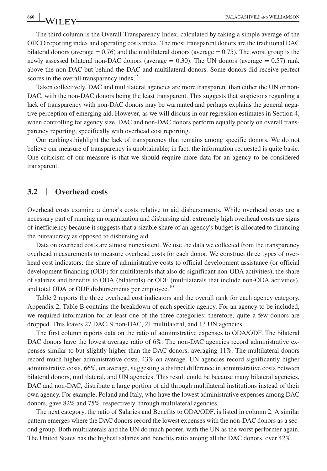The third column is the Overall Transparency Index, calculated by taking a simple average of the OECD reporting index and operating costs index. The most transparent donors are the traditional DAC bilateral donors (average  $= 0.76$ ) and the multilateral donors (average  $= 0.75$ ). The worst group is the newly assessed bilateral non-DAC donors (average  $= 0.30$ ). The UN donors (average  $= 0.57$ ) rank above the non-DAC but behind the DAC and multilateral donors. Some donors did receive perfect scores in the overall transparency index.<sup>9</sup>

Taken collectively, DAC and multilateral agencies are more transparent than either the UN or non-DAC, with the non-DAC donors being the least transparent. This suggests that suspicions regarding a lack of transparency with non-DAC donors may be warranted and perhaps explains the general negative perception of emerging aid. However, as we will discuss in our regression estimates in Section 4, when controlling for agency size, DAC and non-DAC donors perform equally poorly on overall transparency reporting, specifically with overhead cost reporting.

Our rankings highlight the lack of transparency that remains among specific donors. We do not believe our measure of transparency is unobtainable; in fact, the information requested is quite basic. One criticism of our measure is that we should require more data for an agency to be considered transparent.

### **3.2** | **Overhead costs**

Overhead costs examine a donor's costs relative to aid disbursements. While overhead costs are a necessary part of running an organization and disbursing aid, extremely high overhead costs are signs of inefficiency because it suggests that a sizable share of an agency's budget is allocated to financing the bureaucracy as opposed to disbursing aid.

Data on overhead costs are almost nonexistent. We use the data we collected from the transparency overhead measurements to measure overhead costs for each donor. We construct three types of overhead cost indicators: the share of administrative costs to official development assistance (or official development financing (ODF) for multilaterals that also do significant non-ODA activities), the share of salaries and benefits to ODA (bilaterals) or ODF (multilaterals that include non-ODA activities), and total ODA or ODF disbursements per employee.<sup>10</sup>

Table 2 reports the three overhead cost indicators and the overall rank for each agency category. Appendix 2, Table B contains the breakdown of each specific agency. For an agency to be included, we required information for at least one of the three categories; therefore, quite a few donors are dropped. This leaves 27 DAC, 9 non-DAC, 21 multilateral, and 13 UN agencies.

The first column reports data on the ratio of administrative expenses to ODA/ODF. The bilateral DAC donors have the lowest average ratio of 6%. The non-DAC agencies record administrative expenses similar to but slightly higher than the DAC donors, averaging 11%. The multilateral donors record much higher administrative costs, 43% on average. UN agencies record significantly higher administrative costs, 66%, on average, suggesting a distinct difference in administrative costs between bilateral donors, multilateral, and UN agencies. This result could be because many bilateral agencies, DAC and non-DAC, distribute a large portion of aid through multilateral institutions instead of their own agency. For example, Poland and Italy, who have the lowest administrative expenses among DAC donors, gave 82% and 75%, respectively, through multilateral agencies.

The next category, the ratio of Salaries and Benefits to ODA/ODF, is listed in column 2. A similar pattern emerges where the DAC donors record the lowest expenses with the non-DAC donors as a second group. Both multilaterals and the UN do much poorer, with the UN as the worst performer again. The United States has the highest salaries and benefits ratio among all the DAC donors, over 42%.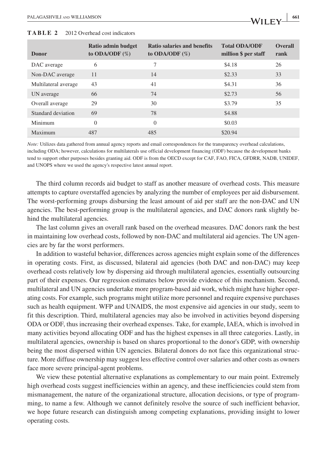| Donor                | Ratio admin budget<br>to ODA/ODF $(\%)$ | Ratio salaries and benefits<br>to ODA/ODF $(\%)$ | <b>Total ODA/ODF</b><br>million \$ per staff | <b>Overall</b><br>rank |
|----------------------|-----------------------------------------|--------------------------------------------------|----------------------------------------------|------------------------|
| DAC average          | 6                                       | 7                                                | \$4.18                                       | 26                     |
| Non-DAC average      | 11                                      | 14                                               | \$2.33                                       | 33                     |
| Multilateral average | 43                                      | 41                                               | \$4.31                                       | 36                     |
| UN average           | 66                                      | 74                                               | \$2.73                                       | 56                     |
| Overall average      | 29                                      | 30                                               | \$3.79                                       | 35                     |
| Standard deviation   | 69                                      | 78                                               | \$4.88                                       |                        |
| Minimum              | $\Omega$                                | $\theta$                                         | \$0.03                                       |                        |
| Maximum              | 487                                     | 485                                              | \$20.94                                      |                        |

#### **TABLE 2** 2012 Overhead cost indicators

*Note:* Utilizes data gathered from annual agency reports and email correspondences for the transparency overhead calculations, including ODA; however, calculations for multilaterals use official development financing (ODF) because the development banks tend to support other purposes besides granting aid. ODF is from the OECD except for CAF, FAO, FICA, GFDRR, NADB, UNIDEF, and UNOPS where we used the agency's respective latest annual report.

The third column records aid budget to staff as another measure of overhead costs. This measure attempts to capture overstaffed agencies by analyzing the number of employees per aid disbursement. The worst-performing groups disbursing the least amount of aid per staff are the non-DAC and UN agencies. The best-performing group is the multilateral agencies, and DAC donors rank slightly behind the multilateral agencies.

The last column gives an overall rank based on the overhead measures. DAC donors rank the best in maintaining low overhead costs, followed by non-DAC and multilateral aid agencies. The UN agencies are by far the worst performers.

In addition to wasteful behavior, differences across agencies might explain some of the differences in operating costs. First, as discussed, bilateral aid agencies (both DAC and non-DAC) may keep overhead costs relatively low by dispersing aid through multilateral agencies, essentially outsourcing part of their expenses. Our regression estimates below provide evidence of this mechanism. Second, multilateral and UN agencies undertake more program-based aid work, which might have higher operating costs. For example, such programs might utilize more personnel and require expensive purchases such as health equipment. WFP and UNAIDS, the most expensive aid agencies in our study, seem to fit this description. Third, multilateral agencies may also be involved in activities beyond dispersing ODA or ODF, thus increasing their overhead expenses. Take, for example, IAEA, which is involved in many activities beyond allocating ODF and has the highest expenses in all three categories. Lastly, in multilateral agencies, ownership is based on shares proportional to the donor's GDP, with ownership being the most dispersed within UN agencies. Bilateral donors do not face this organizational structure. More diffuse ownership may suggest less effective control over salaries and other costs as owners face more severe principal-agent problems.

We view these potential alternative explanations as complementary to our main point. Extremely high overhead costs suggest inefficiencies within an agency, and these inefficiencies could stem from mismanagement, the nature of the organizational structure, allocation decisions, or type of programming, to name a few. Although we cannot definitely resolve the source of such inefficient behavior, we hope future research can distinguish among competing explanations, providing insight to lower operating costs.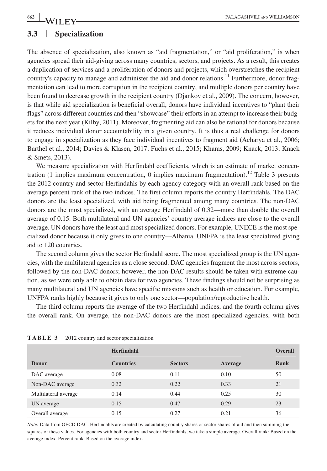# **3.3** | **Specialization**

The absence of specialization, also known as "aid fragmentation," or "aid proliferation," is when agencies spread their aid-giving across many countries, sectors, and projects. As a result, this creates a duplication of services and a proliferation of donors and projects, which overstretches the recipient country's capacity to manage and administer the aid and donor relations.<sup>11</sup> Furthermore, donor fragmentation can lead to more corruption in the recipient country, and multiple donors per country have been found to decrease growth in the recipient country (Djankov et al., 2009). The concern, however, is that while aid specialization is beneficial overall, donors have individual incentives to "plant their flags" across different countries and then "showcase" their efforts in an attempt to increase their budgets for the next year (Kilby, 2011). Moreover, fragmenting aid can also be rational for donors because it reduces individual donor accountability in a given country. It is thus a real challenge for donors to engage in specialization as they face individual incentives to fragment aid (Acharya et al., 2006; Barthel et al., 2014; Davies & Klasen, 2017; Fuchs et al., 2015; Kharas, 2009; Knack, 2013; Knack & Smets, 2013).

We measure specialization with Herfindahl coefficients, which is an estimate of market concentration (1 implies maximum concentration, 0 implies maximum fragmentation).<sup>12</sup> Table 3 presents the 2012 country and sector Herfindahls by each agency category with an overall rank based on the average percent rank of the two indices. The first column reports the country Herfindahls. The DAC donors are the least specialized, with aid being fragmented among many countries. The non-DAC donors are the most specialized, with an average Herfindahl of 0.32—more than double the overall average of 0.15. Both multilateral and UN agencies' country average indices are close to the overall average. UN donors have the least and most specialized donors. For example, UNECE is the most specialized donor because it only gives to one country—Albania. UNFPA is the least specialized giving aid to 120 countries.

The second column gives the sector Herfindahl score. The most specialized group is the UN agencies, with the multilateral agencies as a close second. DAC agencies fragment the most across sectors, followed by the non-DAC donors; however, the non-DAC results should be taken with extreme caution, as we were only able to obtain data for two agencies. These findings should not be surprising as many multilateral and UN agencies have specific missions such as health or education. For example, UNFPA ranks highly because it gives to only one sector—population/reproductive health.

The third column reports the average of the two Herfindahl indices, and the fourth column gives the overall rank. On average, the non-DAC donors are the most specialized agencies, with both

|                      | <b>Herfindahl</b> |                |         | <b>Overall</b> |
|----------------------|-------------------|----------------|---------|----------------|
| <b>Donor</b>         | <b>Countries</b>  | <b>Sectors</b> | Average | <b>Rank</b>    |
| DAC average          | 0.08              | 0.11           | 0.10    | 50             |
| Non-DAC average      | 0.32              | 0.22           | 0.33    | 21             |
| Multilateral average | 0.14              | 0.44           | 0.25    | 30             |
| UN average           | 0.15              | 0.47           | 0.29    | 23             |
| Overall average      | 0.15              | 0.27           | 0.21    | 36             |

**TABLE 3** 2012 country and sector specialization

*Note:* Data from OECD DAC. Herfindahls are created by calculating country shares or sector shares of aid and then summing the squares of these values. For agencies with both country and sector Herfindahls, we take a simple average. Overall rank: Based on the average index. Percent rank: Based on the average index.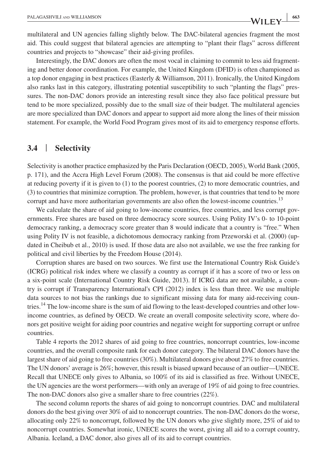multilateral and UN agencies falling slightly below. The DAC-bilateral agencies fragment the most aid. This could suggest that bilateral agencies are attempting to "plant their flags" across different countries and projects to "showcase" their aid-giving profiles.

Interestingly, the DAC donors are often the most vocal in claiming to commit to less aid fragmenting and better donor coordination. For example, the United Kingdom (DFID) is often championed as a top donor engaging in best practices (Easterly & Williamson, 2011). Ironically, the United Kingdom also ranks last in this category, illustrating potential susceptibility to such "planting the flags" pressures. The non-DAC donors provide an interesting result since they also face political pressure but tend to be more specialized, possibly due to the small size of their budget. The multilateral agencies are more specialized than DAC donors and appear to support aid more along the lines of their mission statement. For example, the World Food Program gives most of its aid to emergency response efforts.

# **3.4** | **Selectivity**

Selectivity is another practice emphasized by the Paris Declaration (OECD, 2005), World Bank (2005, p. 171), and the Accra High Level Forum (2008). The consensus is that aid could be more effective at reducing poverty if it is given to (1) to the poorest countries, (2) to more democratic countries, and (3) to countries that minimize corruption. The problem, however, is that countries that tend to be more corrupt and have more authoritarian governments are also often the lowest-income countries.<sup>13</sup>

We calculate the share of aid going to low-income countries, free countries, and less corrupt governments. Free shares are based on three democracy score sources. Using Polity IV's 0- to 10-point democracy ranking, a democracy score greater than 8 would indicate that a country is "free." When using Polity IV is not feasible, a dichotomous democracy ranking from Przeworski et al. (2000) (updated in Cheibub et al., 2010) is used. If those data are also not available, we use the free ranking for political and civil liberties by the Freedom House (2014).

Corruption shares are based on two sources. We first use the International Country Risk Guide's (ICRG) political risk index where we classify a country as corrupt if it has a score of two or less on a six-point scale (International Country Risk Guide, 2013). If ICRG data are not available, a country is corrupt if Transparency International's CPI (2012) index is less than three. We use multiple data sources to not bias the rankings due to significant missing data for many aid-receiving countries.<sup>14</sup> The low-income share is the sum of aid flowing to the least-developed countries and other lowincome countries, as defined by OECD. We create an overall composite selectivity score, where donors get positive weight for aiding poor countries and negative weight for supporting corrupt or unfree countries.

Table 4 reports the 2012 shares of aid going to free countries, noncorrupt countries, low-income countries, and the overall composite rank for each donor category. The bilateral DAC donors have the largest share of aid going to free countries (30%). Multilateral donors give about 27% to free countries. The UN donors' average is 26%; however, this result is biased upward because of an outlier—UNECE. Recall that UNECE only gives to Albania, so 100% of its aid is classified as free. Without UNECE, the UN agencies are the worst performers—with only an average of 19% of aid going to free countries. The non-DAC donors also give a smaller share to free countries (22%).

The second column reports the shares of aid going to noncorrupt countries. DAC and multilateral donors do the best giving over 30% of aid to noncorrupt countries. The non-DAC donors do the worse, allocating only 22% to noncorrupt, followed by the UN donors who give slightly more, 25% of aid to noncorrupt countries. Somewhat ironic, UNECE scores the worst, giving all aid to a corrupt country, Albania. Iceland, a DAC donor, also gives all of its aid to corrupt countries.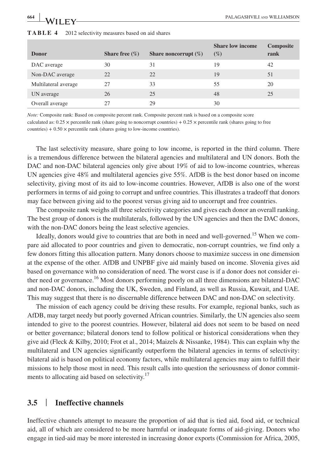| , , , , , , , , |                                                              |  |
|-----------------|--------------------------------------------------------------|--|
|                 | <b>TABLE 4</b> 2012 selectivity measures based on aid shares |  |

| <b>Donor</b>         | Share free $(\%)$ | Share noncorrupt $(\%)$ | <b>Share low income</b><br>(%) | <b>Composite</b><br>rank |
|----------------------|-------------------|-------------------------|--------------------------------|--------------------------|
| DAC average          | 30                | 31                      | 19                             | 42                       |
| Non-DAC average      | 22                | 22                      | 19                             | 51                       |
| Multilateral average | 27                | 33                      | 55                             | 20                       |
| UN average           | 26                | 25                      | 48                             | 25                       |
| Overall average      | 27                | 29                      | 30                             |                          |

*Note:* Composite rank: Based on composite percent rank. Composite percent rank is based on a composite score

calculated as:  $0.25 \times$  percentile rank (share going to noncorrupt countries) +  $0.25 \times$  percentile rank (shares going to free countries)  $+ 0.50 \times$  percentile rank (shares going to low-income countries).

The last selectivity measure, share going to low income, is reported in the third column. There is a tremendous difference between the bilateral agencies and multilateral and UN donors. Both the DAC and non-DAC bilateral agencies only give about 19% of aid to low-income countries, whereas UN agencies give 48% and multilateral agencies give 55%. AfDB is the best donor based on income selectivity, giving most of its aid to low-income countries. However, AfDB is also one of the worst performers in terms of aid going to corrupt and unfree countries. This illustrates a tradeoff that donors may face between giving aid to the poorest versus giving aid to uncorrupt and free countries.

The composite rank weighs all three selectivity categories and gives each donor an overall ranking. The best group of donors is the multilaterals, followed by the UN agencies and then the DAC donors, with the non-DAC donors being the least selective agencies.

Ideally, donors would give to countries that are both in need and well-governed.<sup>15</sup> When we compare aid allocated to poor countries and given to democratic, non-corrupt countries, we find only a few donors fitting this allocation pattern. Many donors choose to maximize success in one dimension at the expense of the other. AfDB and UNPBF give aid mainly based on income. Slovenia gives aid based on governance with no consideration of need. The worst case is if a donor does not consider either need or governance.<sup>16</sup> Most donors performing poorly on all three dimensions are bilateral-DAC and non-DAC donors, including the UK, Sweden, and Finland, as well as Russia, Kuwait, and UAE. This may suggest that there is no discernable difference between DAC and non-DAC on selectivity.

The mission of each agency could be driving these results. For example, regional banks, such as AfDB, may target needy but poorly governed African countries. Similarly, the UN agencies also seem intended to give to the poorest countries. However, bilateral aid does not seem to be based on need or better governance; bilateral donors tend to follow political or historical considerations when they give aid (Fleck & Kilby, 2010; Frot et al., 2014; Maizels & Nissanke, 1984). This can explain why the multilateral and UN agencies significantly outperform the bilateral agencies in terms of selectivity: bilateral aid is based on political economy factors, while multilateral agencies may aim to fulfill their missions to help those most in need. This result calls into question the seriousness of donor commitments to allocating aid based on selectivity.<sup>17</sup>

# **3.5** | **Ineffective channels**

Ineffective channels attempt to measure the proportion of aid that is tied aid, food aid, or technical aid, all of which are considered to be more harmful or inadequate forms of aid-giving. Donors who engage in tied-aid may be more interested in increasing donor exports (Commission for Africa, 2005,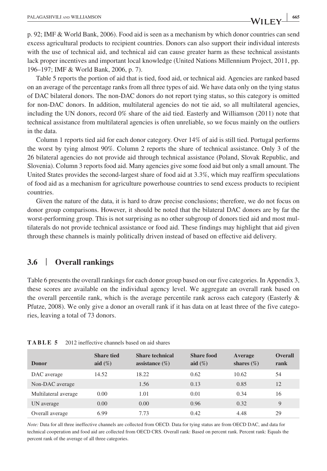p. 92; IMF & World Bank, 2006). Food aid is seen as a mechanism by which donor countries can send excess agricultural products to recipient countries. Donors can also support their individual interests with the use of technical aid, and technical aid can cause greater harm as these technical assistants lack proper incentives and important local knowledge (United Nations Millennium Project, 2011, pp. 196–197; IMF & World Bank, 2006, p. 7).

Table 5 reports the portion of aid that is tied, food aid, or technical aid. Agencies are ranked based on an average of the percentage ranks from all three types of aid. We have data only on the tying status of DAC bilateral donors. The non-DAC donors do not report tying status, so this category is omitted for non-DAC donors. In addition, multilateral agencies do not tie aid, so all multilateral agencies, including the UN donors, record 0% share of the aid tied. Easterly and Williamson (2011) note that technical assistance from multilateral agencies is often unreliable, so we focus mainly on the outliers in the data.

Column 1 reports tied aid for each donor category. Over 14% of aid is still tied. Portugal performs the worst by tying almost 90%. Column 2 reports the share of technical assistance. Only 3 of the 26 bilateral agencies do not provide aid through technical assistance (Poland, Slovak Republic, and Slovenia). Column 3 reports food aid. Many agencies give some food aid but only a small amount. The United States provides the second-largest share of food aid at 3.3%, which may reaffirm speculations of food aid as a mechanism for agriculture powerhouse countries to send excess products to recipient countries.

Given the nature of the data, it is hard to draw precise conclusions; therefore, we do not focus on donor group comparisons. However, it should be noted that the bilateral DAC donors are by far the worst-performing group. This is not surprising as no other subgroup of donors tied aid and most multilaterals do not provide technical assistance or food aid. These findings may highlight that aid given through these channels is mainly politically driven instead of based on effective aid delivery.

# **3.6** | **Overall rankings**

Table 6 presents the overall rankings for each donor group based on our five categories. In Appendix 3, these scores are available on the individual agency level. We aggregate an overall rank based on the overall percentile rank, which is the average percentile rank across each category (Easterly & Pfutze, 2008). We only give a donor an overall rank if it has data on at least three of the five categories, leaving a total of 73 donors.

| <b>Donor</b>         | <b>Share tied</b><br>aid $(\%)$ | <b>Share technical</b><br>assistance $(\%)$ | <b>Share food</b><br>aid $(\%)$ | Average<br>shares $(\%)$ | <b>Overall</b><br>rank |
|----------------------|---------------------------------|---------------------------------------------|---------------------------------|--------------------------|------------------------|
| DAC average          | 14.52                           | 18.22                                       | 0.62                            | 10.62                    | 54                     |
| Non-DAC average      |                                 | 1.56                                        | 0.13                            | 0.85                     | 12                     |
| Multilateral average | 0.00                            | 1.01                                        | 0.01                            | 0.34                     | 16                     |
| UN average           | 0.00                            | 0.00                                        | 0.96                            | 0.32                     | 9                      |
| Overall average      | 6.99                            | 7.73                                        | 0.42                            | 4.48                     | 29                     |

**TABLE 5** 2012 ineffective channels based on aid shares

*Note:* Data for all three ineffective channels are collected from OECD. Data for tying status are from OECD DAC, and data for technical cooperation and food aid are collected from OECD CRS. Overall rank: Based on percent rank. Percent rank: Equals the percent rank of the average of all three categories.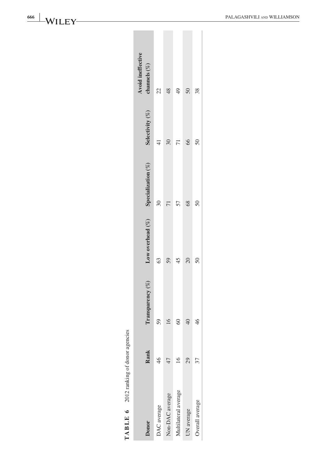| TABLE 6 2012 ranking of donor agencies |            |                  |                                           |        |                 |                                      |
|----------------------------------------|------------|------------------|-------------------------------------------|--------|-----------------|--------------------------------------|
| Donor                                  | Rank       | Transparency (%) | Low overhead $(\%)$ Specialization $(\%)$ |        | Selectivity (%) | Avoid ineffective<br>channels $(\%)$ |
| DAC average                            | 46         | 59               | 63                                        | $30\,$ | $\frac{1}{4}$   | 22                                   |
| Non-DAC average                        | 47         | $\circ$          | 59                                        | 71     | 30              | 48                                   |
| Multilateral average                   | $\epsilon$ | 8                | 45                                        | 57     | $\overline{71}$ | $^{49}$                              |
| UN average                             | 29         | $\overline{40}$  | 20                                        | 68     | 8 <sup>o</sup>  | 50                                   |
| Overall average                        | 37         | 46               | 50                                        | $50\,$ | $\overline{50}$ | 38                                   |

| $\ddot{\phantom{a}}$<br>i<br>J |  |
|--------------------------------|--|
| al cus cus<br>i                |  |
| J<br>and in the case           |  |
| ١<br>ļ<br>ص                    |  |
| ï                              |  |
| ۳                              |  |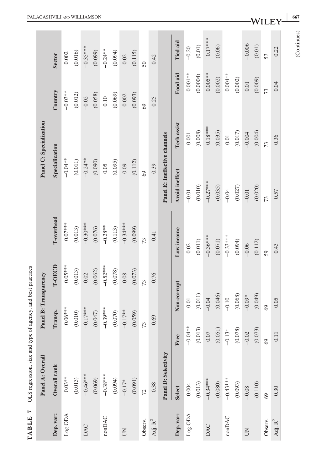|                                                             | PALAGASHVILI AND WILLIAMSON |                |           |         |            |         |            |         |                      |         |         |                     |                               |                |            |                       |            |         |            |         |          | WH       |         | EY                  | 667         |
|-------------------------------------------------------------|-----------------------------|----------------|-----------|---------|------------|---------|------------|---------|----------------------|---------|---------|---------------------|-------------------------------|----------------|------------|-----------------------|------------|---------|------------|---------|----------|----------|---------|---------------------|-------------|
|                                                             |                             | <b>Sector</b>  | 0.002     | (0.016) | $-0.35***$ | (0.099) | $-0.24***$ | (0.094) | $0.02\,$             | (0.115) | 50      | 0.42                |                               | Tied aid       | $-0.20$    | $(0.01)$              | $0.17***$  | (0.06)  |            |         | $-0.006$ | $(0.01)$ | 53      | 0.22                | (Continues) |
|                                                             |                             | Country        | $-0.03**$ | (0.012) | $-0.02$    | (0.058) | $0.10\,$   | (0.069) | $0.002\,$            | (0.093) | 69      | 0.25                |                               | Food aid       | $0.001***$ | (0.0004)              | $0.005**$  | (0.002) | $0.004**$  | (0.002) | $0.01\,$ | (0.009)  | 73      | 0.04                |             |
|                                                             | Panel C: Specialization     |                |           |         |            |         |            |         |                      |         |         |                     |                               | Tech assist    | $0.001\,$  | (0.008)               | $0.18***$  | (0.035) | $0.01\,$   | (0.017) | $-0.004$ | (0.004)  | 73      | 0.36                |             |
|                                                             |                             | Specialization | $-0.04**$ | (0.011) | $-0.24***$ | (0.090) | 0.05       | (0.095) | 0.09                 | (0.112) | 69      | 0.39                | Panel E: Ineffective channels | Avoid ineffect | $-0.01$    | (0.010)               | $-0.27***$ | (0.035) | $-0.04$    | (0.027) | $-0.01$  | (0.020)  | 73      | 0.57                |             |
|                                                             |                             | T-overhead     | $0.07***$ | (0.013) | $-0.30***$ | (0.076) | $-0.28**$  | (0.113) | $-0.34***$           | (0.099) | 73      | 0.41                |                               | Low income     | $0.02\,$   | (0.011)               | $-0.36***$ | (0.071) | $-0.33***$ | (0.094) | $-0.06$  | (0.112)  | 59      | 0.43                |             |
|                                                             | <b>B:</b> Transparency      | T-OECD         | $0.05***$ | (0.013) | $0.02\,$   | (0.062) | $-0.52***$ | (0.078) | $0.08\,$             | (0.073) | 73      | 0.76                |                               |                |            |                       |            |         |            |         |          |          |         |                     |             |
| OLS regression, size and type of agency, and best practices | Panel                       | Transp.        | $0.06***$ | (0.010) | $-0.17***$ | (0.047) | $-0.39***$ |         | $(0.070)$<br>-0.17** | (0.059) | 73      | 0.69                |                               | Non-corrupt    | $0.01\,$   | $\left( 0.011\right)$ | $-0.04$    | (0.046) | $-0.10$    | (0.068) | $-0.09*$ | (0.049)  | 69      | 0.05                |             |
|                                                             |                             |                |           |         |            |         |            |         |                      |         |         |                     |                               | Free           | $-0.04**$  | (0.013)               | $0.07\,$   | (0.051) | $-0.13*$   | (0.078) | $-0.02$  | (0.073)  | 69      | 0.11                |             |
|                                                             | Panel A: Overall            | Overall rank   | $0.03**$  | (0.013) | $-0.46***$ | (0.069) | $-0.38***$ | (0.094) | $-0.17*$             | (0.091) | 72      | 0.38                | Panel D: Selectivity          | <b>Select</b>  | 0.004      | (0.013)               | $-0.34***$ | (0.080) | $-0.43***$ | (0.093) | $-0.08$  | (0.110)  | 69      | 0.30                |             |
| $\overline{a}$<br>TABLE                                     |                             | Dep. var:      | Log ODA   |         | DAC        |         | nonDAC     |         | E                    |         | Observ. | Adj. $\mathbf{R}^2$ |                               | Dep. var:      | Log ODA    |                       | DAC        |         | nonDAC     |         | Š        |          | Observ. | Adj. $\mathbf{R}^2$ |             |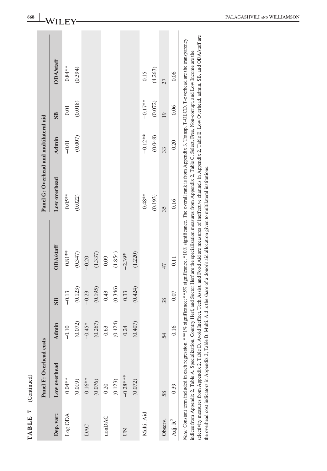| ľ            |
|--------------|
| Œ<br>Ì<br>l, |
| ≏<br>⋖       |
| ۰            |

**668**

 $-WILEY$ 

|                         | Panel F: Overhead costs |          |               |                  | Panel G: Overhead and multilateral aid |                 |                         |                  |
|-------------------------|-------------------------|----------|---------------|------------------|----------------------------------------|-----------------|-------------------------|------------------|
| Dep. var:               | Low overhead            | Admin    | $\frac{8}{2}$ | <b>ODA/staff</b> | Low overhead                           | Admin           | $\overline{\mathbf{S}}$ | <b>ODA/staff</b> |
| Log ODA                 | $0.04***$               | $-0.10$  | $-0.13$       | $0.81**$         | $0.05**$                               | $-0.01$         | 0.01                    | $0.84***$        |
|                         | (0.019)                 | (0.072)  | (0.123)       | (0.347)          | (0.022)                                | $(0.007)$       | (0.018)                 | (0.394)          |
| DAC                     | $0.16***$               | $-0.45*$ | $-0.23$       | $-0.20$          |                                        |                 |                         |                  |
|                         | (0.076)                 | (0.267)  | (0.195)       | (1.337)          |                                        |                 |                         |                  |
| nonDAC                  | 0.20                    | $-0.63$  | $-0.43$       | 0.09             |                                        |                 |                         |                  |
|                         | (0.123)                 | (0.424)  | (0.346)       | (1.854)          |                                        |                 |                         |                  |
| $\overline{\mathsf{S}}$ | $-0.28***$              | 0.24     | 0.33          | $-2.39*$         |                                        |                 |                         |                  |
|                         | (0.072)                 | (0.407)  | (0.424)       | (1.220)          |                                        |                 |                         |                  |
| Multi. Aid              |                         |          |               |                  | $0.48***$                              | $-0.12**$       | $-0.17**$               | 0.15             |
|                         |                         |          |               |                  | (0.193)                                | (0.048)         | (0.072)                 | (4.263)          |
| Observ.                 | 58                      | 54       | 38            | 47               | 35                                     | 33 <sub>1</sub> | 19                      | 27               |
| Adj. $\mathbf{R}^2$     | 0.39                    | 0.16     | 0.07          | $\overline{0}$ . | 0.16                                   | 0.20            | 0.06                    | 0.06             |
|                         |                         |          |               |                  |                                        |                 |                         |                  |

selectivity measures from Appendix 2, Table D. Avoid Ineffect, Tech Assist, and Food Aid are measures of ineffective channels in Appendix 2, Table E. Low Overhead, admin, SB, and ODA/staff are selectivity measures from Appendix 2, Table D. Avoid Ineffect, Tech Assist, and Food Aid are measures of ineffective channels in Appendix 2, Table E. Low Overhead, admin, SB, and ODA/staff are Note: Constant term included in each regression. \*\*\*1% significance; \*\*5% significance; \*10% significance. The overall rank is from Appendix 3. Transp. T-OECD, T-overhead are the transparency *Note:* Constant term included in each regression. \*\*\*1% significance; \*\*5% significance; \*10% significance. The overall rank is from Appendix 3. Transp, T-OECD, T-overhead are the transparency indices from Appendix 2. Table A. Specialization, Country Herf, and Sector Herf are the specialization measures from Appendix 2. Table C. Select, Free, Non-corrupt, and Low Income are the indices from Appendix 2, Table A. Specialization, Country Herf, and Sector Herf are the specialization measures from Appendix 2, Table C. Select, Free, Non-corrupt, and Low Income are the the overhead cost indicators in Appendix 2, Table B. Multi. Aid is the share of a donor's aid allocation given to multilateral institutions. the overhead cost indicators in Appendix 2, Table B. Multi. Aid is the share of a donor's aid allocation given to multilateral institutions.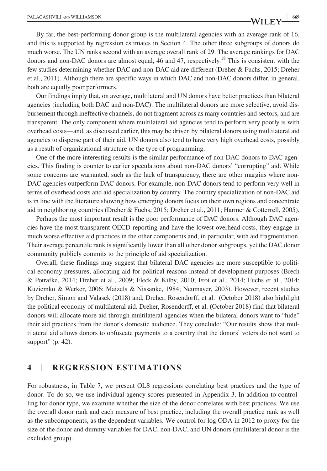By far, the best-performing donor group is the multilateral agencies with an average rank of 16, and this is supported by regression estimates in Section 4. The other three subgroups of donors do much worse. The UN ranks second with an average overall rank of 29. The average rankings for DAC donors and non-DAC donors are almost equal, 46 and 47, respectively.<sup>18</sup> This is consistent with the few studies determining whether DAC and non-DAC aid are different (Dreher & Fuchs, 2015; Dreher et al., 2011). Although there are specific ways in which DAC and non-DAC donors differ, in general, both are equally poor performers.

Our findings imply that, on average, multilateral and UN donors have better practices than bilateral agencies (including both DAC and non-DAC). The multilateral donors are more selective, avoid disbursement through ineffective channels, do not fragment across as many countries and sectors, and are transparent. The only component where multilateral aid agencies tend to perform very poorly is with overhead costs—and, as discussed earlier, this may be driven by bilateral donors using multilateral aid agencies to disperse part of their aid. UN donors also tend to have very high overhead costs, possibly as a result of organizational structure or the type of programming.

One of the more interesting results is the similar performance of non-DAC donors to DAC agencies. This finding is counter to earlier speculations about non-DAC donors' "corrupting" aid. While some concerns are warranted, such as the lack of transparency, there are other margins where non-DAC agencies outperform DAC donors. For example, non-DAC donors tend to perform very well in terms of overhead costs and aid specialization by country. The country specialization of non-DAC aid is in line with the literature showing how emerging donors focus on their own regions and concentrate aid in neighboring countries (Dreher & Fuchs, 2015; Dreher et al., 2011; Harmer & Cotterrell, 2005).

Perhaps the most important result is the poor performance of DAC donors. Although DAC agencies have the most transparent OECD reporting and have the lowest overhead costs, they engage in much worse effective aid practices in the other components and, in particular, with aid fragmentation. Their average percentile rank is significantly lower than all other donor subgroups, yet the DAC donor community publicly commits to the principle of aid specialization.

Overall, these findings may suggest that bilateral DAC agencies are more susceptible to political economy pressures, allocating aid for political reasons instead of development purposes (Brech & Potrafke, 2014; Dreher et al., 2009; Fleck & Kilby, 2010; Frot et al., 2014; Fuchs et al., 2014; Kuziemko & Werker, 2006; Maizels & Nissanke, 1984; Neumayer, 2003). However, recent studies by Dreher, Simon and Valasek (2018) and, Dreher, Rosendorff, et al. (October 2018) also highlight the political economy of multilateral aid. Dreher, Rosendorff, et al. (October 2018) find that bilateral donors will allocate more aid through multilateral agencies when the bilateral donors want to "hide" their aid practices from the donor's domestic audience. They conclude: "Our results show that multilateral aid allows donors to obfuscate payments to a country that the donors' voters do not want to support" (p. 42).

# **4** | **REGRESSION ESTIMATIONS**

For robustness, in Table 7, we present OLS regressions correlating best practices and the type of donor. To do so, we use individual agency scores presented in Appendix 3. In addition to controlling for donor type, we examine whether the size of the donor correlates with best practices. We use the overall donor rank and each measure of best practice, including the overall practice rank as well as the subcomponents, as the dependent variables. We control for log ODA in 2012 to proxy for the size of the donor and dummy variables for DAC, non-DAC, and UN donors (multilateral donor is the excluded group).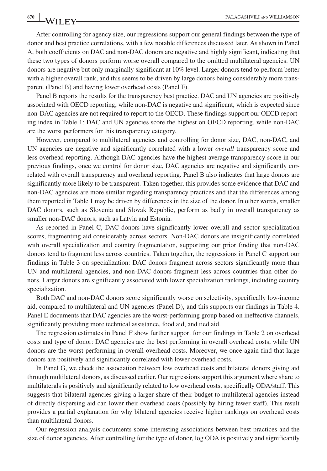After controlling for agency size, our regressions support our general findings between the type of donor and best practice correlations, with a few notable differences discussed later. As shown in Panel A, both coefficients on DAC and non-DAC donors are negative and highly significant, indicating that these two types of donors perform worse overall compared to the omitted multilateral agencies. UN donors are negative but only marginally significant at 10% level. Larger donors tend to perform better with a higher overall rank, and this seems to be driven by large donors being considerably more transparent (Panel B) and having lower overhead costs (Panel F).

Panel B reports the results for the transparency best practice. DAC and UN agencies are positively associated with OECD reporting, while non-DAC is negative and significant, which is expected since non-DAC agencies are not required to report to the OECD. These findings support our OECD reporting index in Table 1: DAC and UN agencies score the highest on OECD reporting, while non-DAC are the worst performers for this transparency category.

However, compared to multilateral agencies and controlling for donor size, DAC, non-DAC, and UN agencies are negative and significantly correlated with a lower *overall* transparency score and less overhead reporting. Although DAC agencies have the highest average transparency score in our previous findings, once we control for donor size, DAC agencies are negative and significantly correlated with overall transparency and overhead reporting. Panel B also indicates that large donors are significantly more likely to be transparent. Taken together, this provides some evidence that DAC and non-DAC agencies are more similar regarding transparency practices and that the differences among them reported in Table 1 may be driven by differences in the size of the donor. In other words, smaller DAC donors, such as Slovenia and Slovak Republic, perform as badly in overall transparency as smaller non-DAC donors, such as Latvia and Estonia.

As reported in Panel C, DAC donors have significantly lower overall and sector specialization scores, fragmenting aid considerably across sectors. Non-DAC donors are insignificantly correlated with overall specialization and country fragmentation, supporting our prior finding that non-DAC donors tend to fragment less across countries. Taken together, the regressions in Panel C support our findings in Table 3 on specialization: DAC donors fragment across sectors significantly more than UN and multilateral agencies, and non-DAC donors fragment less across countries than other donors. Larger donors are significantly associated with lower specialization rankings, including country specialization.

Both DAC and non-DAC donors score significantly worse on selectivity, specifically low-income aid, compared to multilateral and UN agencies (Panel D), and this supports our findings in Table 4. Panel E documents that DAC agencies are the worst-performing group based on ineffective channels, significantly providing more technical assistance, food aid, and tied aid.

The regression estimates in Panel F show further support for our findings in Table 2 on overhead costs and type of donor: DAC agencies are the best performing in overall overhead costs, while UN donors are the worst performing in overall overhead costs. Moreover, we once again find that large donors are positively and significantly correlated with lower overhead costs.

In Panel G, we check the association between low overhead costs and bilateral donors giving aid through multilateral donors, as discussed earlier. Our regressions support this argument where share to multilaterals is positively and significantly related to low overhead costs, specifically ODA/staff. This suggests that bilateral agencies giving a larger share of their budget to multilateral agencies instead of directly dispersing aid can lower their overhead costs (possibly by hiring fewer staff). This result provides a partial explanation for why bilateral agencies receive higher rankings on overhead costs than multilateral donors.

Our regression analysis documents some interesting associations between best practices and the size of donor agencies. After controlling for the type of donor, log ODA is positively and significantly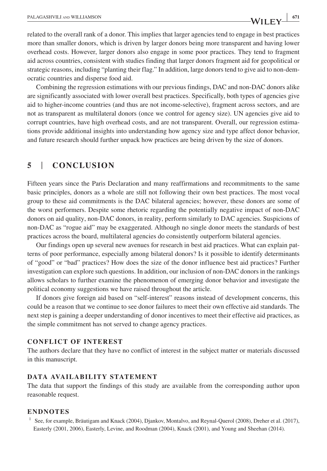related to the overall rank of a donor. This implies that larger agencies tend to engage in best practices more than smaller donors, which is driven by larger donors being more transparent and having lower overhead costs. However, larger donors also engage in some poor practices. They tend to fragment aid across countries, consistent with studies finding that larger donors fragment aid for geopolitical or strategic reasons, including "planting their flag." In addition, large donors tend to give aid to non-democratic countries and disperse food aid.

Combining the regression estimations with our previous findings, DAC and non-DAC donors alike are significantly associated with lower overall best practices. Specifically, both types of agencies give aid to higher-income countries (and thus are not income-selective), fragment across sectors, and are not as transparent as multilateral donors (once we control for agency size). UN agencies give aid to corrupt countries, have high overhead costs, and are not transparent. Overall, our regression estimations provide additional insights into understanding how agency size and type affect donor behavior, and future research should further unpack how practices are being driven by the size of donors.

# **5** | **CONCLUSION**

Fifteen years since the Paris Declaration and many reaffirmations and recommitments to the same basic principles, donors as a whole are still not following their own best practices. The most vocal group to these aid commitments is the DAC bilateral agencies; however, these donors are some of the worst performers. Despite some rhetoric regarding the potentially negative impact of non-DAC donors on aid quality, non-DAC donors, in reality, perform similarly to DAC agencies. Suspicions of non-DAC as "rogue aid" may be exaggerated. Although no single donor meets the standards of best practices across the board, multilateral agencies do consistently outperform bilateral agencies.

Our findings open up several new avenues for research in best aid practices. What can explain patterns of poor performance, especially among bilateral donors? Is it possible to identify determinants of "good" or "bad" practices? How does the size of the donor influence best aid practices? Further investigation can explore such questions. In addition, our inclusion of non-DAC donors in the rankings allows scholars to further examine the phenomenon of emerging donor behavior and investigate the political economy suggestions we have raised throughout the article.

If donors give foreign aid based on "self-interest" reasons instead of development concerns, this could be a reason that we continue to see donor failures to meet their own effective aid standards. The next step is gaining a deeper understanding of donor incentives to meet their effective aid practices, as the simple commitment has not served to change agency practices.

### **CONFLICT OF INTEREST**

The authors declare that they have no conflict of interest in the subject matter or materials discussed in this manuscript.

### **DATA AVAILABILITY STATEMENT**

The data that support the findings of this study are available from the corresponding author upon reasonable request.

### **ENDNOTES**

See, for example, Bräutigam and Knack (2004), Djankov, Montalvo, and Reynal-Querol (2008), Dreher et al. (2017), Easterly (2001, 2006), Easterly, Levine, and Roodman (2004), Knack (2001), and Young and Sheehan (2014).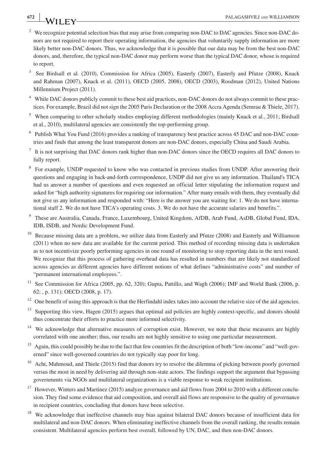- 2 We recognize potential selection bias that may arise from comparing non-DAC to DAC agencies. Since non-DAC donors are not required to report their operating information, the agencies that voluntarily supply information are more likely better non-DAC donors. Thus, we acknowledge that it is possible that our data may be from the best non-DAC donors, and, therefore, the typical non-DAC donor may perform worse than the typical DAC donor, whose is required to report.
- See Birdsall et al. (2010), Commission for Africa (2005), Easterly (2007), Easterly and Pfutze (2008), Knack and Rahman (2007), Knack et al. (2011), OECD (2005, 2008), OECD (2003), Roodman (2012), United Nations Millennium Project (2011).
- 4 While DAC donors publicly commit to these best aid practices, non-DAC donors do not always commit to these practices. For example, Brazil did not sign the 2005 Paris Declaration or the 2008 Accra Agenda (Semrau & Thiele, 2017).
- <sup>5</sup> When comparing to other scholarly studies employing different methodologies (mainly Knack et al., 2011; Birdsall et al., 2010), multilateral agencies are consistently the top-performing group.
- 6 Publish What You Fund (2016) provides a ranking of transparency best practice across 45 DAC and non-DAC countries and finds that among the least transparent donors are non-DAC donors, especially China and Saudi Arabia.
- 7 It is not surprising that DAC donors rank higher than non-DAC donors since the OECD requires all DAC donors to fully report.
- <sup>8</sup> For example, UNDP requested to know who was contacted in previous studies from UNDP. After answering their questions and engaging in back-and-forth correspondence, UNDP did not give us any information. Thailand's TICA had us answer a number of questions and even requested an official letter stipulating the information request and asked for "high authority signatures for requiring our information." After many emails with them, they eventually did not give us any information and responded with: "Here is the answer you are waiting for: 1. We do not have international staff 2. We do not have TICA's operating costs. 3. We do not have the accurate salaries and benefits.".
- 9 These are Australia, Canada, France, Luxembourg, United Kingdom, AfDB, Arab Fund, AsDB, Global Fund, IDA, IDB, ISDB, and Nordic Development Fund.
- <sup>10</sup> Because missing data are a problem, we utilize data from Easterly and Pfutze (2008) and Easterly and Williamson (2011) when no new data are available for the current period. This method of recording missing data is undertaken as to not incentivize poorly performing agencies in one round of monitoring to stop reporting data in the next round. We recognize that this process of gathering overhead data has resulted in numbers that are likely not standardized across agencies as different agencies have different notions of what defines "administrative costs" and number of "permanent international employees.".
- <sup>11</sup> See Commission for Africa (2005, pp. 62, 320); Gupta, Pattillo, and Wagh (2006); IMF and World Bank (2006, p. 62; , p. 131); OECD (2008, p. 17).
- $12$  One benefit of using this approach is that the Herfindahl index takes into account the relative size of the aid agencies.
- $13$  Supporting this view, Hagen (2015) argues that optimal aid policies are highly context-specific, and donors should thus concentrate their efforts to practice more informed selectivity.
- <sup>14</sup> We acknowledge that alternative measures of corruption exist. However, we note that these measures are highly correlated with one another; thus, our results are not highly sensitive to using one particular measurement.
- <sup>15</sup> Again, this could possibly be due to the fact that few countries fit the description of both "low-income" and "well-governed" since well-governed countries do not typically stay poor for long.
- <sup>16</sup> Acht, Mahmoud, and Thiele (2015) find that donors try to resolve the dilemma of picking between poorly governed versus the most in need by delivering aid through non-state actors. The findings support the argument that bypassing governments via NGOs and multilateral organizations is a viable response to weak recipient institutions.
- <sup>17</sup> However, Winters and Martinez (2015) analyze governance and aid flows from 2004 to 2010 with a different conclusion. They find some evidence that aid composition, and overall aid flows are responsive to the quality of governance in recipient countries, concluding that donors have been selective.
- <sup>18</sup> We acknowledge that ineffective channels may bias against bilateral DAC donors because of insufficient data for multilateral and non-DAC donors. When eliminating ineffective channels from the overall ranking, the results remain consistent. Multilateral agencies perform best overall, followed by UN, DAC, and then non-DAC donors.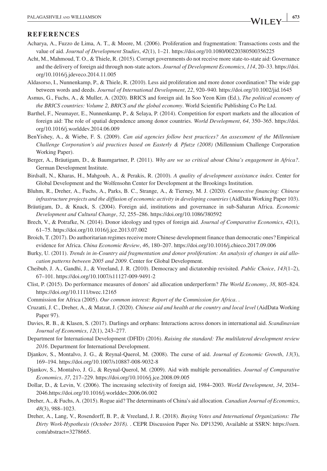#### **REFERENCES**

- Acharya, A., Fuzzo de Lima, A. T., & Moore, M. (2006). Proliferation and fragmentation: Transactions costs and the value of aid. *Journal of Development Studies*, *42*(1), 1–21. <https://doi.org/10.1080/00220380500356225>
- Acht, M., Mahmoud, T. O., & Thiele, R. (2015). Corrupt governments do not receive more state-to-state aid: Governance and the delivery of foreign aid through non-state actors. *Journal of Development Economics*, *114*, 20–33. [https://doi.](https://doi.org/10.1016/j.jdeveco.2014.11.005) [org/10.1016/j.jdeveco.2014.11.005](https://doi.org/10.1016/j.jdeveco.2014.11.005)
- Aldasorso, I., Nunnenkamp, P., & Thiele, R. (2010). Less aid proliferation and more donor coordination? The wide gap between words and deeds. *Journal of International Development*, *22*, 920–940. <https://doi.org/10.1002/jid.1645>
- Asmus, G., Fuchs, A., & Muller, A. (2020). BRICS and foreign aid. In Soo Yeon Kim (Ed.), *The political economy of the BRICS countries: Volume 2, BRICS and the global economy*. World Scientific Publishing Co Pte Ltd.
- Barthel, F., Neumayer, E., Nunnenkamp, P., & Selaya, P. (2014). Competition for export markets and the allocation of foreign aid: The role of spatial dependence among donor countries. *World Development*, *64*, 350–365. [https://doi.](https://doi.org/10.1016/j.worlddev.2014.06.009) [org/10.1016/j.worlddev.2014.06.009](https://doi.org/10.1016/j.worlddev.2014.06.009)
- BenYishey, A., & Wiebe, F. S. (2009). *Can aid agencies follow best practices? An assessment of the Millennium Challenge Corporation's aid practices based on Easterly & Pfutze (2008)* (Millennium Challenge Corporation Working Paper).
- Berger, A., Bräutigam, D., & Baumgartner, P. (2011). *Why are we so critical about China's engagement in Africa?*. German Development Institute.
- Birdsall, N., Kharas, H., Mahgoub, A., & Perakis, R. (2010). *A quality of development assistance index*. Center for Global Development and the Wolfensohn Center for Development at the Brookings Institution.
- Bluhm, R., Dreher, A., Fuchs, A., Parks, B. C., Strange, A., & Tierney, M. J. (2020). *Connective financing: Chinese infrastructure projects and the diffusion of economic activity in developing countries* (AidData Working Paper 103).
- Bräutigam, D., & Knack, S. (2004). Foreign aid, institutions and governance in sub-Saharan Africa. *Economic Development and Cultural Change*, *52*, 255–286.<https://doi.org/10.1086/380592>
- Brech, V., & Potrafke, N. (2014). Donor ideology and types of foreign aid. *Journal of Comparative Economics*, *42*(1), 61–75.<https://doi.org/10.1016/j.jce.2013.07.002>
- Broich, T. (2017). Do authoritarian regimes receive more Chinese development finance than democratic ones? Empirical evidence for Africa. *China Economic Review*, *46*, 180–207.<https://doi.org/10.1016/j.chieco.2017.09.006>
- Burky, U. (2011). *Trends in in-Country aid fragmentation and donor proliferation: An analysis of changes in aid allocation patterns between 2005 and 2009*. Center for Global Development.
- Cheibub, J. A., Gandhi, J., & Vreeland, J. R. (2010). Democracy and dictatorship revisited. *Public Choice*, *143*(1–2), 67–101.<https://doi.org/10.1007/s11127-009-9491-2>
- Clist, P. (2015). Do performance measures of donors' aid allocation underperform? *The World Economy*, *38*, 805–824. <https://doi.org/10.1111/twec.12165>
- Commission for Africa (2005). *Our common interest: Report of the Commission for Africa*. .
- Cruzatti, J. C., Dreher, A., & Matzat, J. (2020). *Chinese aid and health at the country and local level* (AidData Working Paper 97).
- Davies, R. B., & Klasen, S. (2017). Darlings and orphans: Interactions across donors in international aid. *Scandinavian Journal of Economics*, *12*(1), 243–277.
- Department for International Development (DFID) (2016). *Raising the standard: The multilateral development review 2016*. Department for International Development.
- Djankov, S., Montalvo, J. G., & Reynal-Querol, M. (2008). The curse of aid. *Journal of Economic Growth*, *13*(3), 169–194. <https://doi.org/10.1007/s10887-008-9032-8>
- Djankov, S., Montalvo, J. G., & Reynal-Querol, M. (2009). Aid with multiple personalities. *Journal of Comparative Economics*, *37*, 217–229. <https://doi.org/10.1016/j.jce.2008.09.005>
- Dollar, D., & Levin, V. (2006). The increasing selectivity of foreign aid, 1984–2003. *World Development*, *34*, 2034– 2046.<https://doi.org/10.1016/j.worlddev.2006.06.002>
- Dreher, A., & Fuchs, A. (2015). Rogue aid? The determinants of China's aid allocation. *Canadian Journal of Economics*, *48*(3), 988–1023.
- Dreher, A., Lang, V., Rosendorff, B. P., & Vreeland, J. R. (2018). *Buying Votes and International Organizations: The Dirty Work-Hypothesis (October 2018).* . CEPR Discussion Paper No. DP13290, Available at SSRN: [https://ssrn.](https://ssrn.com/abstract=3278665https://ssrn.com/abstract=3278665) [com/abstract=3278665](https://ssrn.com/abstract=3278665https://ssrn.com/abstract=3278665).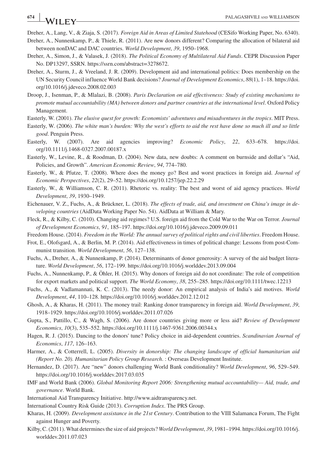- Dreher, A., Lang, V., & Ziaja, S. (2017). *Foreign Aid in Areas of Limited Statehood* (CESifo Working Paper, No. 6340).
- Dreher, A., Nunnenkamp, P., & Thiele, R. (2011). Are new donors different? Comparing the allocation of bilateral aid between nonDAC and DAC countries. *World Development*, *39*, 1950–1968.
- Dreher, A., Simon, J., & Valasek, J. (2018). *The Political Economy of Multilateral Aid Funds*. CEPR Discussion Paper No. DP13297, SSRN. <https://ssrn.com/abstract=3278672>.
- Dreher, A., Sturm, J., & Vreeland, J. R. (2009). Development aid and international politics: Does membership on the UN Security Council influence World Bank decisions? *Journal of Development Economics*, *88*(1), 1–18. [https://doi.](https://doi.org/10.1016/j.jdeveco.2008.02.003) [org/10.1016/j.jdeveco.2008.02.003](https://doi.org/10.1016/j.jdeveco.2008.02.003)
- Droop, J., Isenman, P., & Mlalazi, B. (2008). *Paris Declaration on aid effectiveness: Study of existing mechanisms to promote mutual accountability (MA) between donors and partner countries at the international level*. Oxford Policy Management.
- Easterly, W. (2001). *The elusive quest for growth: Economists' adventures and misadventures in the tropics*. MIT Press.
- Easterly, W. (2006). *The white man's burden: Why the west's efforts to aid the rest have done so much ill and so little good*. Penguin Press.
- Easterly, W. (2007). Are aid agencies improving? *Economic Policy*, *22*, 633–678. [https://doi.](https://doi.org/10.1111/j.1468-0327.2007.00187.x) [org/10.1111/j.1468-0327.2007.00187.x](https://doi.org/10.1111/j.1468-0327.2007.00187.x)
- Easterly, W., Levine, R., & Roodman, D. (2004). New data, new doubts: A comment on burnside and dollar's "Aid, Policies, and Growth". *American Economic Review*, *94*, 774–780.
- Easterly, W., & Pfutze, T. (2008). Where does the money go? Best and worst practices in foreign aid. *Journal of Economic Perspectives*, *22*(2), 29–52.<https://doi.org/10.1257/jep.22.2.29>
- Easterly, W., & Williamson, C. R. (2011). Rhetoric vs. reality: The best and worst of aid agency practices. *World Development*, *39*, 1930–1949.
- Eichenauer, V. Z., Fuchs, A., & Brückner, L. (2018). *The effects of trade, aid, and investment on China's image in developing countries* (AidData Working Paper No. 54). AidData at William & Mary.
- Fleck, R., & Kilby, C. (2010). Changing aid regimes? U.S. foreign aid from the Cold War to the War on Terror. *Journal of Development Economics*, *91*, 185–197.<https://doi.org/10.1016/j.jdeveco.2009.09.011>
- Freedom House. (2014). *Freedom in the World: The annual survey of political rights and civil liberties*. Freedom House.
- Frot, E., Olofsgard, A., & Berlin, M. P. (2014). Aid effectiveness in times of political change: Lessons from post-Communist transition. *World Development*, *56*, 127–138.
- Fuchs, A., Dreher, A., & Nunnenkamp, P. (2014). Determinants of donor generosity: A survey of the aid budget literature. *World Development*, *56*, 172–199. <https://doi.org/10.1016/j.worlddev.2013.09.004>
- Fuchs, A., Nunnenkamp, P., & Öhler, H. (2015). Why donors of foreign aid do not coordinate: The role of competition for export markets and political support. *The World Economy*, *38*, 255–285. <https://doi.org/10.1111/twec.12213>
- Fuchs, A., & Vadlamannati, K. C. (2013). The needy donor: An empirical analysis of India's aid motives. *World Development*, *44*, 110–128.<https://doi.org/10.1016/j.worlddev.2012.12.012>
- Ghosh, A., & Kharas, H. (2011). The money trail: Ranking donor transparency in foreign aid. *World Development*, *39*, 1918–1929.<https://doi.org/10.1016/j.worlddev.2011.07.026>
- Gupta, S., Pattillo, C., & Wagh, S. (2006). Are donor countries giving more or less aid? *Review of Development Economics*, *10*(3), 535–552. <https://doi.org/10.1111/j.1467-9361.2006.00344.x>
- Hagen, R. J. (2015). Dancing to the donors' tune? Policy choice in aid-dependent countries. *Scandinavian Journal of Economics*, *117*, 126–163.
- Harmer, A., & Cotterrell, L. (2005). *Diversity in donorship: The changing landscape of official humanitarian aid (Report No. 20). Humanitarian Policy Group Research*. : Overseas Development Institute.
- Hernandez, D. (2017). Are "new" donors challenging World Bank conditionality? *World Development*, *96*, 529–549. <https://doi.org/10.1016/j.worlddev.2017.03.035>
- IMF and World Bank (2006). *Global Monitoring Report 2006: Strengthening mutual accountability— Aid, trade, and governance*. World Bank.
- International Aid Transparency Initiative. [http://www.aidtransparency.net.](http://www.aidtransparency.net)

International Country Risk Guide (2013). *Corruption Index*. The PRS Group.

- Kharas, H. (2009). *Development assistance in the 21st Century*. Contribution to the VIII Salamanca Forum, The Fight against Hunger and Poverty.
- Kilby, C. (2011). What determines the size of aid projects? *World Development*, *39*, 1981–1994. [https://doi.org/10.1016/j.](https://doi.org/10.1016/j.worlddev.2011.07.023) [worlddev.2011.07.023](https://doi.org/10.1016/j.worlddev.2011.07.023)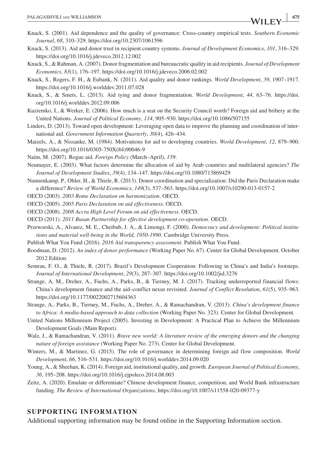- Knack, S. (2013). Aid and donor trust in recipient country systems. *Journal of Development Economics*, *101*, 316–329. <https://doi.org/10.1016/j.jdeveco.2012.12.002>
- Knack, S., & Rahman, A. (2007). Donor fragmentation and bureaucratic quality in aid recipients. *Journal of Development Economics*, *83*(1), 176–197. <https://doi.org/10.1016/j.jdeveco.2006.02.002>
- Knack, S., Rogers, F. H., & Eubank, N. (2011). Aid quality and donor rankings. *World Development*, *39*, 1907–1917. <https://doi.org/10.1016/j.worlddev.2011.07.028>
- Knack, S., & Smets, L. (2013). Aid tying and donor fragmentation. *World Development*, *44*, 63–76. [https://doi.](https://doi.org/10.1016/j.worlddev.2012.09.006) [org/10.1016/j.worlddev.2012.09.006](https://doi.org/10.1016/j.worlddev.2012.09.006)
- Kuziemko, I., & Werker, E. (2006). How much is a seat on the Security Council worth? Foreign aid and bribery at the United Nations. *Journal of Political Economy*, *114*, 905–930.<https://doi.org/10.1086/507155>
- Linders, D. (2013). Toward open development: Leveraging open data to improve the planning and coordination of international aid. *Government Information Quarterly*, *30*(4), 426–434.
- Maizels, A., & Nissanke, M. (1984). Motivations for aid to developing countries. *World Development*, *12*, 879–900. [https://doi.org/10.1016/0305-750X\(84\)90046-9](https://doi.org/10.1016/0305-750X(84)90046-9)
- Naím, M. (2007). Rogue aid. *Foreign Policy* (March–April), *159*.
- Neumayer, E. (2003). What factors determine the allocation of aid by Arab countries and multilateral agencies? *The Journal of Development Studies*, *39*(4), 134–147.<https://doi.org/10.1080/713869429>
- Nunnenkamp, P., Ohler, H., & Thiele, R. (2013). Donor coordination and specialization: Did the Paris Declaration make a difference? *Review of World Economics*, *149*(3), 537–563.<https://doi.org/10.1007/s10290-013-0157-2>
- OECD (2003). *2003 Rome Declaration on harmonization*. OECD.
- OECD (2005). *2005 Paris Declaration on aid effectiveness*. OECD.
- OECD (2008). *2008 Accra High Level Forum on aid effectiveness*. OECD.
- OECD (2011). *2011 Busan Partnership for effective development co-operation*. OECD.
- Przeworski, A., Alvarez, M. E., Cheibub, J. A., & Limongi, F. (2000). *Democracy and development: Political institutions and material well-being in the World, 1950-1990*. Cambridge University Press.
- Publish What You Fund (2016). *2016 Aid transparency assessment*. Publish What You Fund.
- Roodman, D. (2012). *An index of donor performance* (Working Paper No. 67). Center for Global Development. October 2012 Edition.
- Semrau, F. O., & Thiele, R. (2017). Brazil's Development Cooperation: Following in China's and India's footsteps. *Journal of International Development*, *29*(3), 287–307. <https://doi.org/10.1002/jid.3276>
- Strange, A. M., Dreher, A., Fuchs, A., Parks, B., & Tierney, M. J. (2017). Tracking underreported financial flows: China's development finance and the aid–conflict nexus revisited. *Journal of Conflict Resolution*, *61*(5), 935–963. <https://doi.org/10.1177/0022002715604363>
- Strange, A., Parks, B., Tierney, M., Fuchs, A., Dreher, A., & Ramachandran, V. (2013). *China's development finance to Africa: A media-based approach to data collection* (Working Paper No. 323). Center for Global Development.
- United Nations Millennium Project (2005). Investing in Development: A Practical Plan to Achieve the Millennium Development Goals (Main Report).
- Walz, J., & Ramachandran, V. (2011). *Brave new world: A literature review of the emerging donors and the changing nature of foreign assistance* (Working Paper No. 273). Center for Global Development.
- Winters, M., & Martinez, G. (2015). The role of governance in determining foreign aid flow composition. *World Development*, *66*, 516–531.<https://doi.org/10.1016/j.worlddev.2014.09.020>
- Young, A., & Sheehan, K. (2014). Foreign aid, institutional quality, and growth. *European Journal of Political Economy*, *36*, 195–208.<https://doi.org/10.1016/j.ejpoleco.2014.08.003>
- Zeitz, A. (2020). Emulate or differentiate? Chinese development finance, competition, and World Bank infrastructure funding. *The Review of International Organizations*, <https://doi.org/10.1007/s11558-020-09377-y>

#### **SUPPORTING INFORMATION**

Additional supporting information may be found online in the Supporting Information section.